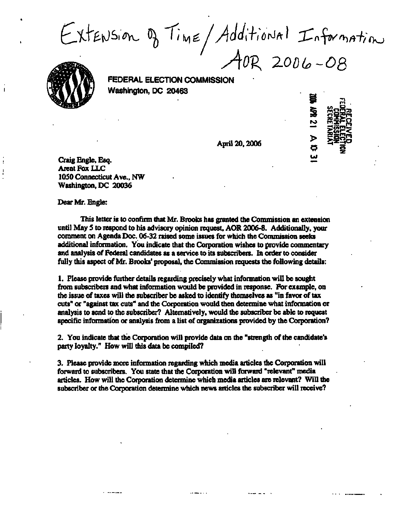**Oo** 

*A&K 2.0D&-OQ* 

**FEDERAL ELECTION COMMISSION Washington, DC 20463** 

 $\frac{D}{20}$ , 2006  $\frac{D}{20}$ 

**25 Sgi\* 2**<br>**"BEBSITE**<br>CEOSED<br>DEEGREE

**Craig Engle, Esq. Arent Fox LLC 1050 Connecticut Ave., NW Washington, DC 20036** 

**Dear Mr. Engle:** 

**This letter is to confirm that Mr. Brooks has granted the Commission an extension until May 5 to respond to his advisory opinion request, AOR 2006-8. Additionally, your comment on Agenda Doc. 06-32 raised some issues for which the Commission seeks additional information. You indicate that the Corporation wishes to provide commentary and analysis of Federal candidates as a service to its subscribers. In order to consider fully this aspect of Mr. Brooks' proposal, the Commission requests the following details:** 

**1. Please provide further details regarding precisely what infonnation will be sought from subscribers and what information would be provided in response. For example, on the issue of taxes will the subscriber be asked to identify themselves as "in favor of tax cuts" or "against tax cuts" and the Corporation would then determine what infonnation or analysis to send to the subscriber? Alternatively, would the subscriber be able to request specific information or analysis from a list of organizations provided by the Corporation?** 

**2. You indicate that the Corporation will provide data on the "strength of the candidate's party loyalty." How will this data be compiled?** 

**3. Please provide more information regarding which media articles the Corporation will forward to subscribers. You state that the Corporation will forward "relevant" media articles. How will the Corporation determine which media articles are relevant? Will the subscriber or the Corporation determine which news articles the subscriber will receive?**